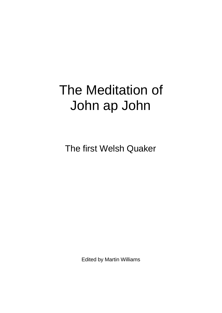## The Meditation of John ap John

The first Welsh Quaker

Edited by Martin Williams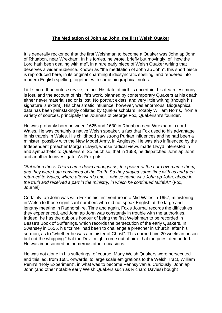## **The Meditation of John ap John, the first Welsh Quaker**

It is generally reckoned that the first Welshman to become a Quaker was John ap John, of Rhuabon, near Wrexham. In his forties, he wrote, briefly but movingly, of "how the Lord hath been dealing with me", in a rare early piece of Welsh Quaker writing that deserves a wider audience. Known as "the meditation of John ap John", this short piece is reproduced here, in its original charming if idiosyncratic spelling, and rendered into modern English spelling, together with some biographical notes.

Little more than notes survive, in fact. His date of birth is uncertain, his death testimony is lost, and the account of his life's work, planned by contemporary Quakers at his death either never materialised or is lost. No portrait exists, and very little writing (though his signature is extant). His charismatic influence, however, was enormous. Biographical data has been painstakingly collated by Quaker scholars, notably William Norris, from a variety of sources, principally the Journals of George Fox, Quakerism's founder.

He was probably born between 1625 and 1630 in Rhuabon near Wrexham in north Wales. He was certainly a native Welsh speaker, a fact that Fox used to his advantage in his travels in Wales. His childhood saw strong Puritan influences and he had been a minister, possibly with the New Model Army, in Anglesey. He was also influenced by the Independent preacher Morgan Llwyd, whose radical views made Llwyd interested in and sympathetic to Quakerism. So much so, that in 1653, he dispatched John ap John and another to investigate. As Fox puts it:

*"But when those Triers came down amongst us, the power of the Lord overcame them, and they were both convinced of the Truth. So they stayed some time with us and then returned to Wales, where afterwards one… whose name was John ap John, abode in the truth and received a part in the ministry, in which he continued faithful."* (Fox, Journal)

Certainly, ap John was with Fox in his first venture into Mid Wales in 1657, ministering in Welsh to those significant numbers who did not speak English at the large and lengthy meeting in Radnorshire. Time and again, Fox's Journal records the difficulties they experienced, and John ap John was constantly in trouble with the authorities. Indeed, he has the dubious honour of being the first Welshman to be recorded in Besse's Book of Sufferings, which records the persecution of the early Quakers. In Swansey in 1655, his "crime" had been to challenge a preacher in Church, after his sermon, as to "whether he was a minister of Christ". This earned him 20 weeks in prison but not the whipping "that the Devil might come out of him" that the priest demanded. He was imprisonned on numerous other occasions.

He was not alone in his sufferings, of course. Many Welsh Quakers were persecuted and this led, from 1681 onwards, to large scale emigrations to the Welsh Tract, William Penn's "Holy Experiment", in what was to become Pennsylvania. Curiously, John ap John (and other notable early Welsh Quakers such as Richard Davies) bought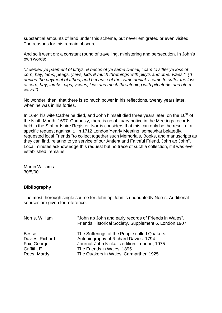substantial amounts of land under this scheme, but never emigrated or even visited. The reasons for this remain obscure.

And so it went on: a constant round of travelling, ministering and persecution. In John's own words:

*"J denied ye paement of tithys, & becos of ye same Denial, i cam to siffer ye loss of corn, hay, lams, peegs, yievs, kids & much thretnings with pikyls and other waes." ("I denied the payment of tithes, and because of the same denial, I came to suffer the loss of corn, hay, lambs, pigs, yewes, kids and much threatening with pitchforks and other ways.")*

No wonder, then, that there is so much power in his reflections, twenty years later, when he was in his forties.

In 1694 his wife Catherine died, and John himself died three years later, on the  $16<sup>th</sup>$  of the Ninth Month, 1697. Curiously, there is no obituary notice in the Meetings records, held in the Staffordshire Register. Norris considers that this can only be the result of a specific request against it. In 1712 London Yearly Meeting, somewhat belatedly, requested local Friends "to collect together such Memorials, Books, and manuscripts as they can find, relating to ye service of our Antient and Faithful Friend, John ap John". Local minutes acknowledge this request but no trace of such a collection, if it was ever established, remains.

Martin Williams 30/5/00

## **Bibliography**

The most thorough single source for John ap John is undoubtedly Norris. Additional sources are given for reference.

| Norris, William | "John ap John and early records of Friends in Wales".<br>Friends Historical Society, Supplement 6. London 1907. |
|-----------------|-----------------------------------------------------------------------------------------------------------------|
| <b>Besse</b>    | The Sufferings of the People called Quakers.                                                                    |
| Davies, Richard | Autobiography of Richard Davies. 1794                                                                           |
| Fox, George:    | Journal. John Nickalls edition, London, 1975                                                                    |
| Griffith, E     | The Friends in Wales. 1895                                                                                      |
| Rees, Mardy     | The Quakers in Wales. Carmarthen 1925                                                                           |